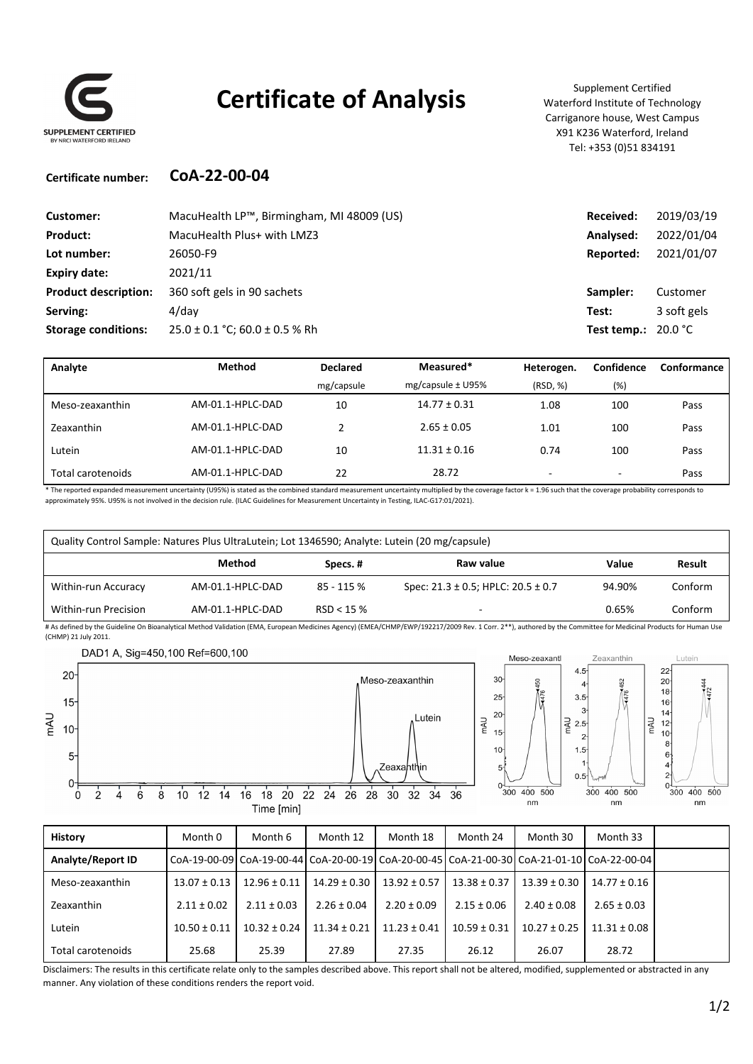

## **Certificate of Analysis** Supplement Certified

Waterford Institute of Technology Carriganore house, West Campus X91 K236 Waterford, Ireland Tel: +353 (0)51 834191

#### **Certificate number: CoA‐22‐00‐04**

| Customer:                   | MacuHealth LP™, Birmingham, MI 48009 (US) | Received:                    | 2019/03/19  |
|-----------------------------|-------------------------------------------|------------------------------|-------------|
| <b>Product:</b>             | MacuHealth Plus+ with LMZ3                | Analysed:                    | 2022/01/04  |
| Lot number:                 | 26050-F9                                  | Reported:                    | 2021/01/07  |
| Expiry date:                | 2021/11                                   |                              |             |
| <b>Product description:</b> | 360 soft gels in 90 sachets               | Sampler:                     | Customer    |
| Serving:                    | $4$ /day                                  | Test:                        | 3 soft gels |
| <b>Storage conditions:</b>  | $25.0 \pm 0.1$ °C; 60.0 $\pm$ 0.5 % Rh    | Test temp.: $20.0 \degree C$ |             |

| Analyte           | <b>Method</b>    | Measured*<br><b>Declared</b> |                       | Heterogen. | Confidence               | Conformance |
|-------------------|------------------|------------------------------|-----------------------|------------|--------------------------|-------------|
|                   |                  | mg/capsule                   | mg/capsule $\pm$ U95% | (RSD, %)   | (%)                      |             |
| Meso-zeaxanthin   | AM-01.1-HPLC-DAD | 10                           | $14.77 \pm 0.31$      | 1.08       | 100                      | Pass        |
| Zeaxanthin        | AM-01.1-HPLC-DAD |                              | $2.65 \pm 0.05$       | 1.01       | 100                      | Pass        |
| Lutein            | AM-01.1-HPLC-DAD | 10                           | $11.31 \pm 0.16$      | 0.74       | 100                      | Pass        |
| Total carotenoids | AM-01.1-HPLC-DAD | 22                           | 28.72                 | -          | $\overline{\phantom{a}}$ | Pass        |

\* The reported expanded measurement uncertainty (U95%) is stated as the combined standard measurement uncertainty multiplied by the coverage factor k = 1.96 such that the coverage probability corresponds to approximately 95%. U95% is not involved in the decision rule. (ILAC Guidelines for Measurement Uncertainty in Testing, ILAC‐G17:01/2021).

| Quality Control Sample: Natures Plus UltraLutein; Lot 1346590; Analyte: Lutein (20 mg/capsule)                                                                                                                 |                  |            |                                             |        |         |
|----------------------------------------------------------------------------------------------------------------------------------------------------------------------------------------------------------------|------------------|------------|---------------------------------------------|--------|---------|
|                                                                                                                                                                                                                | Method           | Specs. #   | Raw value                                   | Value  | Result  |
| Within-run Accuracy                                                                                                                                                                                            | AM-01.1-HPLC-DAD | 85 - 115 % | Spec: $21.3 \pm 0.5$ ; HPLC: $20.5 \pm 0.7$ | 94.90% | Conform |
| Within-run Precision                                                                                                                                                                                           | AM-01.1-HPLC-DAD | RSD < 15%  |                                             | 0.65%  | Conform |
| # As defined by the Guideline On Bioanalytical Method Validation (EMA, European Medicines Agency) (EMEA/CHMP/EWP/192217/2009 Rev. 1 Corr. 2**), authored by the Committee for Medicinal Products for Human Use |                  |            |                                             |        |         |

(CHMP) 21 July 2011.



| <b>History</b>           | Month 0                                                                                              | Month 6          | Month 12         | Month 18         | Month 24         | Month 30         | Month 33         |  |
|--------------------------|------------------------------------------------------------------------------------------------------|------------------|------------------|------------------|------------------|------------------|------------------|--|
| <b>Analyte/Report ID</b> | CoA-19-00-09  CoA-19-00-44  CoA-20-00-19  CoA-20-00-45  CoA-21-00-30  CoA-21-01-10  CoA-22-00-04  Co |                  |                  |                  |                  |                  |                  |  |
| Meso-zeaxanthin          | $13.07 \pm 0.13$                                                                                     | $12.96 \pm 0.11$ | $14.29 \pm 0.30$ | $13.92 \pm 0.57$ | $13.38 \pm 0.37$ | $13.39 \pm 0.30$ | $14.77 \pm 0.16$ |  |
| Zeaxanthin               | $2.11 \pm 0.02$                                                                                      | $2.11 \pm 0.03$  | $2.26 \pm 0.04$  | $2.20 \pm 0.09$  | $2.15 \pm 0.06$  | $2.40 \pm 0.08$  | $2.65 \pm 0.03$  |  |
| Lutein                   | $10.50 \pm 0.11$                                                                                     | $10.32 \pm 0.24$ | $11.34 \pm 0.21$ | $11.23 \pm 0.41$ | $10.59 \pm 0.31$ | $10.27 \pm 0.25$ | $11.31 \pm 0.08$ |  |
| Total carotenoids        | 25.68                                                                                                | 25.39            | 27.89            | 27.35            | 26.12            | 26.07            | 28.72            |  |

Disclaimers: The results in this certificate relate only to the samples described above. This report shall not be altered, modified, supplemented or abstracted in any manner. Any violation of these conditions renders the report void.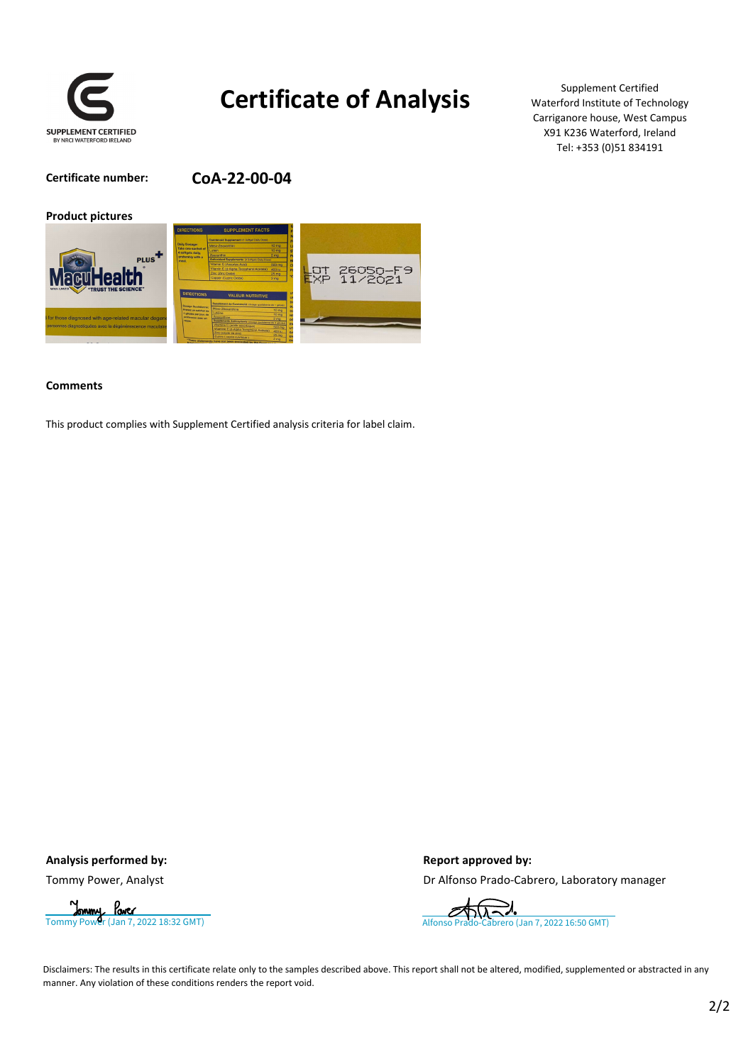

## **Certificate of Analysis**

Supplement Certified Waterford Institute of Technology Carriganore house, West Campus X91 K236 Waterford, Ireland Tel: +353 (0)51 834191

**Certificate number: CoA‐22‐00‐04**



#### **Comments**

This product complies with Supplement Certified analysis criteria for label claim.

#### Analysis performed by:  $\qquad \qquad$  Report approved by:

Tommy Power, Analyst **Drammy Power, Analyst** Drammy Power, Analyst Drammy Power, Analyst



Disclaimers: The results in this certificate relate only to the samples described above. This report shall not be altered, modified, supplemented or abstracted in any manner. Any violation of these conditions renders the report void.